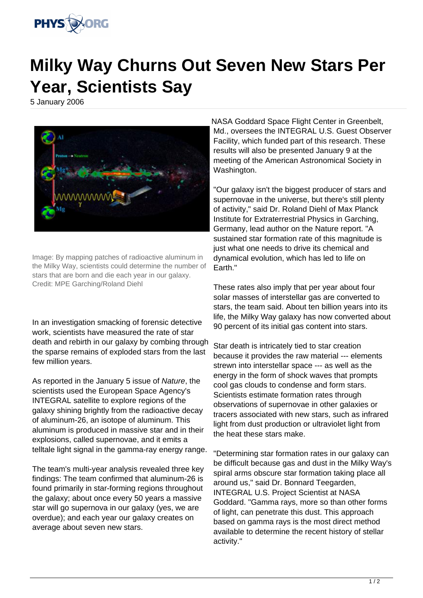

## **Milky Way Churns Out Seven New Stars Per Year, Scientists Say**

5 January 2006



Image: By mapping patches of radioactive aluminum in the Milky Way, scientists could determine the number of stars that are born and die each year in our galaxy. Credit: MPE Garching/Roland Diehl

In an investigation smacking of forensic detective work, scientists have measured the rate of star death and rebirth in our galaxy by combing through the sparse remains of exploded stars from the last few million years.

As reported in the January 5 issue of Nature, the scientists used the European Space Agency's INTEGRAL satellite to explore regions of the galaxy shining brightly from the radioactive decay of aluminum-26, an isotope of aluminum. This aluminum is produced in massive star and in their explosions, called supernovae, and it emits a telltale light signal in the gamma-ray energy range.

The team's multi-year analysis revealed three key findings: The team confirmed that aluminum-26 is found primarily in star-forming regions throughout the galaxy; about once every 50 years a massive star will go supernova in our galaxy (yes, we are overdue); and each year our galaxy creates on average about seven new stars.

NASA Goddard Space Flight Center in Greenbelt, Md., oversees the INTEGRAL U.S. Guest Observer Facility, which funded part of this research. These results will also be presented January 9 at the meeting of the American Astronomical Society in Washington.

"Our galaxy isn't the biggest producer of stars and supernovae in the universe, but there's still plenty of activity," said Dr. Roland Diehl of Max Planck Institute for Extraterrestrial Physics in Garching, Germany, lead author on the Nature report. "A sustained star formation rate of this magnitude is just what one needs to drive its chemical and dynamical evolution, which has led to life on Earth."

These rates also imply that per year about four solar masses of interstellar gas are converted to stars, the team said. About ten billion years into its life, the Milky Way galaxy has now converted about 90 percent of its initial gas content into stars.

Star death is intricately tied to star creation because it provides the raw material --- elements strewn into interstellar space --- as well as the energy in the form of shock waves that prompts cool gas clouds to condense and form stars. Scientists estimate formation rates through observations of supernovae in other galaxies or tracers associated with new stars, such as infrared light from dust production or ultraviolet light from the heat these stars make.

"Determining star formation rates in our galaxy can be difficult because gas and dust in the Milky Way's spiral arms obscure star formation taking place all around us," said Dr. Bonnard Teegarden, INTEGRAL U.S. Project Scientist at NASA Goddard. "Gamma rays, more so than other forms of light, can penetrate this dust. This approach based on gamma rays is the most direct method available to determine the recent history of stellar activity."